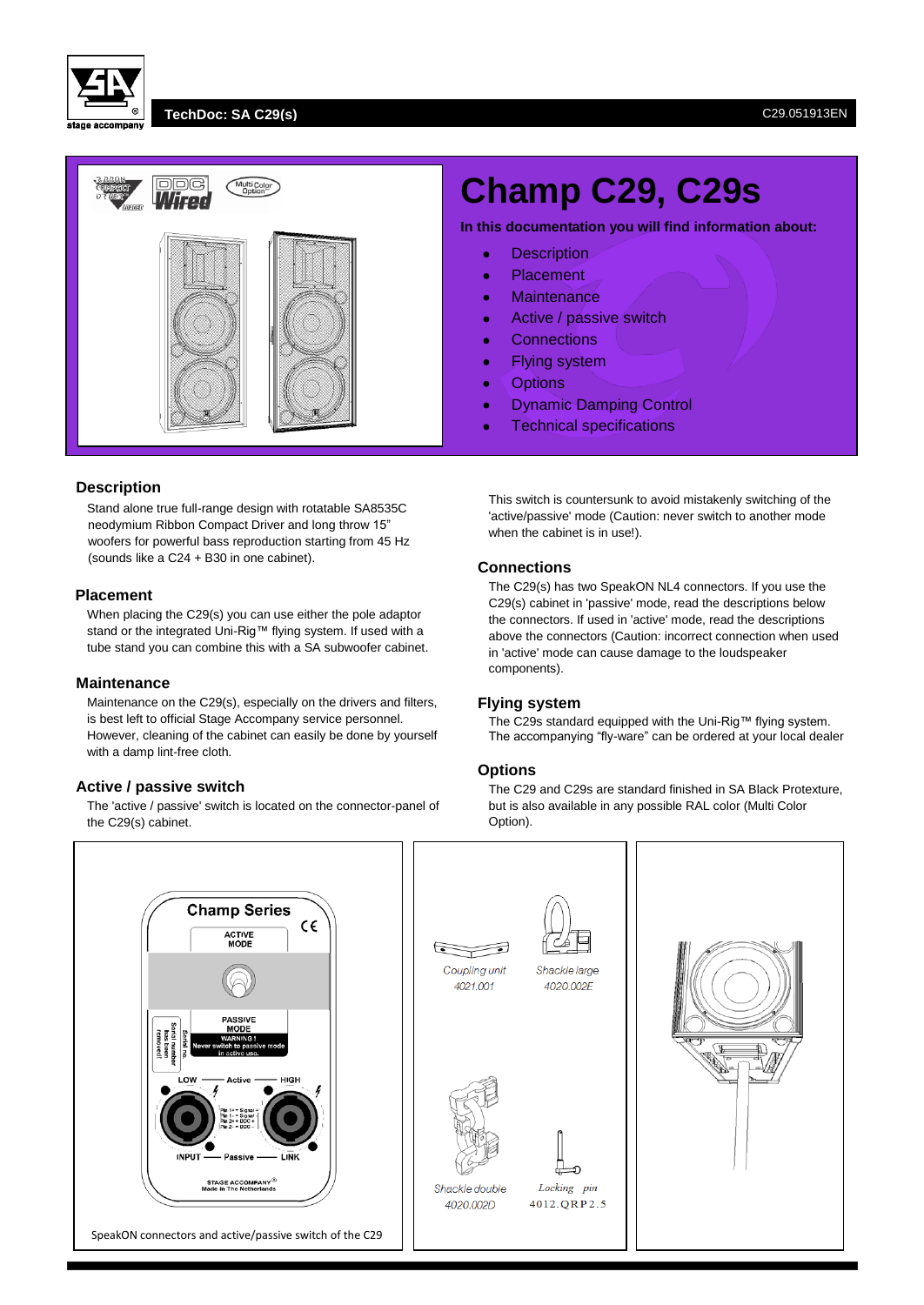## **TechDoc: SA C29(s)** C29.051913EN



# **Description**

Stand alone true full-range design with rotatable SA8535C neodymium Ribbon Compact Driver and long throw 15" woofers for powerful bass reproduction starting from 45 Hz (sounds like a C24 + B30 in one cabinet).

## **Placement**

When placing the C29(s) you can use either the pole adaptor stand or the integrated Uni-Rig™ flying system. If used with a tube stand you can combine this with a SA subwoofer cabinet.

### **Maintenance**

Maintenance on the C29(s), especially on the drivers and filters, is best left to official Stage Accompany service personnel. However, cleaning of the cabinet can easily be done by yourself with a damp lint-free cloth.

# **Active / passive switch**

The 'active / passive' switch is located on the connector-panel of the C29(s) cabinet.

# **Champ C29, C29s**

**In this documentation you will find information about:**

- **•** Description
- Placement
- Maintenance
- Active / passive switch
- Connections
- Flying system
- **•** Options
- Dynamic Damping Control
- Technical specifications

This switch is countersunk to avoid mistakenly switching of the 'active/passive' mode (Caution: never switch to another mode when the cabinet is in use!).

## **Connections**

The C29(s) has two SpeakON NL4 connectors. If you use the C29(s) cabinet in 'passive' mode, read the descriptions below the connectors. If used in 'active' mode, read the descriptions above the connectors (Caution: incorrect connection when used in 'active' mode can cause damage to the loudspeaker components).

### **Flying system**

The C29s standard equipped with the Uni-Rig™ flying system. The accompanying "fly-ware" can be ordered at your local dealer

## **Options**

The C29 and C29s are standard finished in SA Black Protexture, but is also available in any possible RAL color (Multi Color Option).